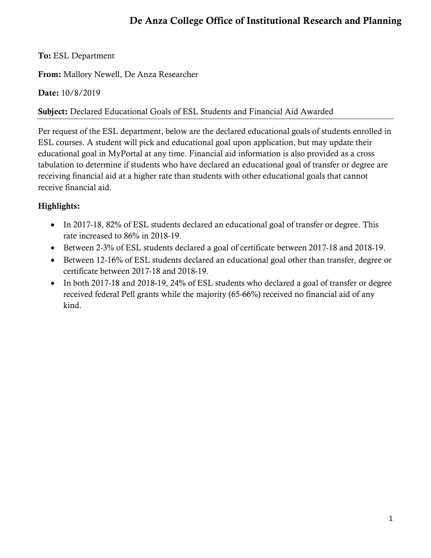# **De Anza College Office of Institutional Research and Planning**

#### **To:** ESL Department

**From:** Mallory Newell, De Anza Researcher

#### **Date:** 10/8/2019

#### **Subject:** Declared Educational Goals of ESL Students and Financial Aid Awarded

Per request of the ESL department, below are the declared educational goals of students enrolled in ESL courses. A student will pick and educational goal upon application, but may update their educational goal in MyPortal at any time. Financial aid information is also provided as a cross tabulation to determine if students who have declared an educational goal of transfer or degree are receiving financial aid at a higher rate than students with other educational goals that cannot receive financial aid.

### **Highlights:**

- In 2017-18, 82% of ESL students declared an educational goal of transfer or degree. This rate increased to 86% in 2018-19.
- Between 2-3% of ESL students declared a goal of certificate between 2017-18 and 2018-19.
- Between 12-16% of ESL students declared an educational goal other than transfer, degree or certificate between 2017-18 and 2018-19.
- In both 2017-18 and 2018-19, 24% of ESL students who declared a goal of transfer or degree received federal Pell grants while the majority (65-66%) received no financial aid of any kind.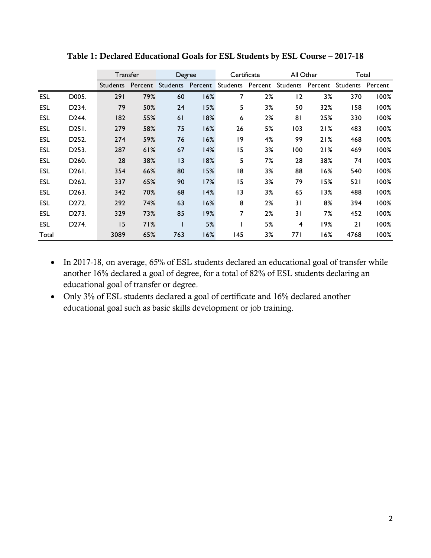|            |                                | Transfer        |         | Degree          |         | Certificate      |    | All Other |         | Total    |         |
|------------|--------------------------------|-----------------|---------|-----------------|---------|------------------|----|-----------|---------|----------|---------|
|            |                                | <b>Students</b> | Percent | <b>Students</b> | Percent | Students Percent |    | Students  | Percent | Students | Percent |
| <b>ESL</b> | D005.                          | 291             | 79%     | 60              | 16%     | 7                | 2% | 12        | 3%      | 370      | 100%    |
| ESL        | D234.                          | 79              | 50%     | 24              | 15%     | 5                | 3% | 50        | 32%     | 158      | 100%    |
| <b>ESL</b> | D244.                          | 182             | 55%     | 61              | 18%     | 6                | 2% | 81        | 25%     | 330      | 100%    |
| ESL        | D <sub>25</sub> <sub>1</sub> . | 279             | 58%     | 75              | 16%     | 26               | 5% | 103       | 21%     | 483      | 100%    |
| <b>ESL</b> | D <sub>252</sub> .             | 274             | 59%     | 76              | 16%     | 19               | 4% | 99        | 21%     | 468      | 100%    |
| ESL        | D <sub>253</sub> .             | 287             | 61%     | 67              | 14%     | 15               | 3% | 100       | 21%     | 469      | 100%    |
| ESL        | D <sub>260</sub> .             | 28              | 38%     | 13              | 18%     | 5                | 7% | 28        | 38%     | 74       | 100%    |
| ESL        | D <sub>26</sub> I.             | 354             | 66%     | 80              | 15%     | 18               | 3% | 88        | 16%     | 540      | 100%    |
| ESL        | D <sub>262</sub> .             | 337             | 65%     | 90              | 17%     | 15               | 3% | 79        | 15%     | 521      | l 00%   |
| ESL        | D <sub>263</sub> .             | 342             | 70%     | 68              | 14%     | 3                | 3% | 65        | 13%     | 488      | 100%    |
| ESL        | D272.                          | 292             | 74%     | 63              | 16%     | 8                | 2% | 31        | 8%      | 394      | 100%    |
| ESL        | D <sub>273</sub> .             | 329             | 73%     | 85              | 19%     | 7                | 2% | 31        | 7%      | 452      | 100%    |
| ESL        | D <sub>274</sub> .             | 15              | 71%     |                 | 5%      |                  | 5% | 4         | 19%     | 21       | 100%    |
| Total      |                                | 3089            | 65%     | 763             | 16%     | 145              | 3% | 77 I      | 16%     | 4768     | 100%    |

Table 1: Declared Educational Goals for ESL Students by ESL Course - 2017-18

- In 2017-18, on average, 65% of ESL students declared an educational goal of transfer while another 16% declared a goal of degree, for a total of 82% of ESL students declaring an educational goal of transfer or degree.
- Only 3% of ESL students declared a goal of certificate and 16% declared another educational goal such as basic skills development or job training.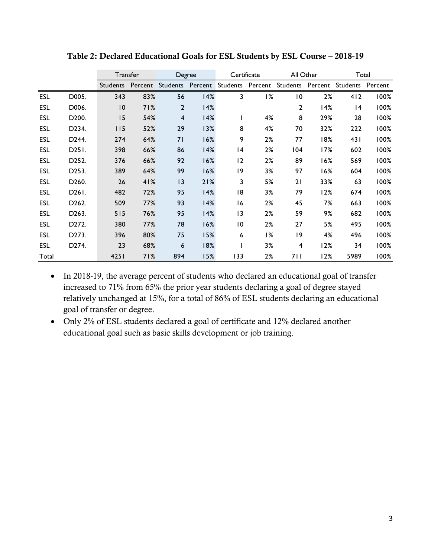|            |                                | Transfer        |         | Degree         |         | Certificate     |                  | All Other      |         | Total           |         |
|------------|--------------------------------|-----------------|---------|----------------|---------|-----------------|------------------|----------------|---------|-----------------|---------|
|            |                                | <b>Students</b> | Percent | Students       | Percent |                 | Students Percent | Students       | Percent | Students        | Percent |
| ESL        | D005.                          | 343             | 83%     | 56             | 14%     | 3               | 1%               | $\overline{0}$ | 2%      | 412             | 100%    |
| <b>ESL</b> | D006.                          | $\overline{10}$ | 71%     | $\overline{2}$ | 14%     |                 |                  | 2              | 14%     | $\overline{14}$ | 100%    |
| <b>ESL</b> | D <sub>200</sub> .             | 15              | 54%     | $\overline{4}$ | 14%     |                 | 4%               | 8              | 29%     | 28              | 100%    |
| ESL        | D <sub>2</sub> 34.             | 115             | 52%     | 29             | 13%     | 8               | 4%               | 70             | 32%     | 222             | 100%    |
| ESL        | D244.                          | 274             | 64%     | 71             | 16%     | 9               | 2%               | 77             | 18%     | 431             | 100%    |
| ESL        | D <sub>25</sub> <sub>1</sub> . | 398             | 66%     | 86             | 14%     | 4               | 2%               | 104            | 17%     | 602             | 100%    |
| <b>ESL</b> | D252.                          | 376             | 66%     | 92             | 16%     | 12              | 2%               | 89             | 16%     | 569             | 100%    |
| ESL        | D253.                          | 389             | 64%     | 99             | 16%     | 9               | 3%               | 97             | 16%     | 604             | 100%    |
| ESL        | D <sub>260</sub> .             | 26              | 41%     | 13             | 21%     | 3               | 5%               | 21             | 33%     | 63              | 100%    |
| ESL        | D <sub>26</sub> I.             | 482             | 72%     | 95             | 14%     | 18              | 3%               | 79             | 12%     | 674             | 100%    |
| ESL        | D <sub>262</sub> .             | 509             | 77%     | 93             | 14%     | 16              | 2%               | 45             | 7%      | 663             | 100%    |
| ESL        | D <sub>263</sub> .             | 515             | 76%     | 95             | 14%     | 3               | 2%               | 59             | 9%      | 682             | 100%    |
| <b>ESL</b> | D <sub>272</sub> .             | 380             | 77%     | 78             | 16%     | $\overline{10}$ | 2%               | 27             | 5%      | 495             | 100%    |
| <b>ESL</b> | D273.                          | 396             | 80%     | 75             | 15%     | 6               | 1%               | 9              | 4%      | 496             | 100%    |
| ESL        | D <sub>274</sub> .             | 23              | 68%     | 6              | 18%     |                 | 3%               | 4              | 12%     | 34              | 100%    |
| Total      |                                | 4251            | 71%     | 894            | 15%     | 133             | 2%               | 711            | 12%     | 5989            | 100%    |

Table 2: Declared Educational Goals for ESL Students by ESL Course - 2018-19

- In 2018-19, the average percent of students who declared an educational goal of transfer increased to 71% from 65% the prior year students declaring a goal of degree stayed relatively unchanged at 15%, for a total of 86% of ESL students declaring an educational goal of transfer or degree.
- Only 2% of ESL students declared a goal of certificate and 12% declared another educational goal such as basic skills development or job training.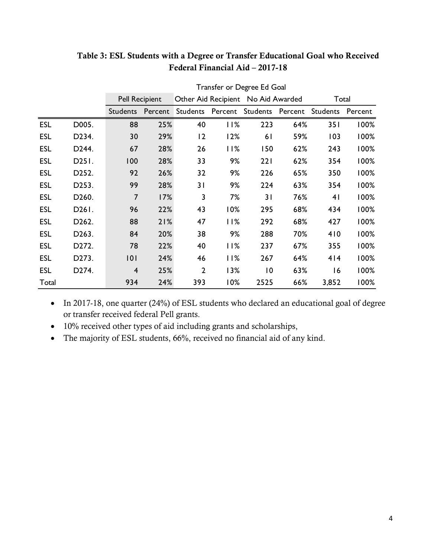|            |                    | Transfer or Degree Ed Goal |         |                                    |         |                 |         |                |         |  |
|------------|--------------------|----------------------------|---------|------------------------------------|---------|-----------------|---------|----------------|---------|--|
|            |                    | <b>Pell Recipient</b>      |         | Other Aid Recipient No Aid Awarded |         |                 |         | Total          |         |  |
|            |                    | <b>Students</b>            | Percent | <b>Students</b>                    | Percent | <b>Students</b> | Percent | Students       | Percent |  |
| <b>ESL</b> | D005.              | 88                         | 25%     | 40                                 | 11%     | 223             | 64%     | 351            | 100%    |  |
| <b>ESL</b> | D234.              | 30                         | 29%     | 12                                 | 12%     | 61              | 59%     | 103            | 100%    |  |
| <b>ESL</b> | D244.              | 67                         | 28%     | 26                                 | 11%     | 150             | 62%     | 243            | 100%    |  |
| <b>ESL</b> | D251.              | 100                        | 28%     | 33                                 | 9%      | 221             | 62%     | 354            | 100%    |  |
| <b>ESL</b> | D252.              | 92                         | 26%     | 32                                 | 9%      | 226             | 65%     | 350            | 100%    |  |
| <b>ESL</b> | D253.              | 99                         | 28%     | 31                                 | 9%      | 224             | 63%     | 354            | 100%    |  |
| <b>ESL</b> | D <sub>260</sub> . | 7                          | 17%     | 3                                  | 7%      | 31              | 76%     | 4 <sub>1</sub> | 100%    |  |
| <b>ESL</b> | D261.              | 96                         | 22%     | 43                                 | 10%     | 295             | 68%     | 434            | 100%    |  |
| <b>ESL</b> | D262.              | 88                         | 21%     | 47                                 | 11%     | 292             | 68%     | 427            | 100%    |  |
| <b>ESL</b> | D263.              | 84                         | 20%     | 38                                 | 9%      | 288             | 70%     | 410            | 100%    |  |
| <b>ESL</b> | D272.              | 78                         | 22%     | 40                                 | 11%     | 237             | 67%     | 355            | 100%    |  |
| <b>ESL</b> | D273.              | 101                        | 24%     | 46                                 | 11%     | 267             | 64%     | 414            | 100%    |  |
| <b>ESL</b> | D274.              | $\overline{4}$             | 25%     | $\overline{2}$                     | 13%     | $\overline{0}$  | 63%     | 16             | 100%    |  |
| Total      |                    | 934                        | 24%     | 393                                | 10%     | 2525            | 66%     | 3,852          | 100%    |  |

## **Table 3: ESL Students with a Degree or Transfer Educational Goal who Received Federal Financial Aid – 2017-18**

• In 2017-18, one quarter (24%) of ESL students who declared an educational goal of degree or transfer received federal Pell grants.

- 10% received other types of aid including grants and scholarships,
- The majority of ESL students, 66%, received no financial aid of any kind.